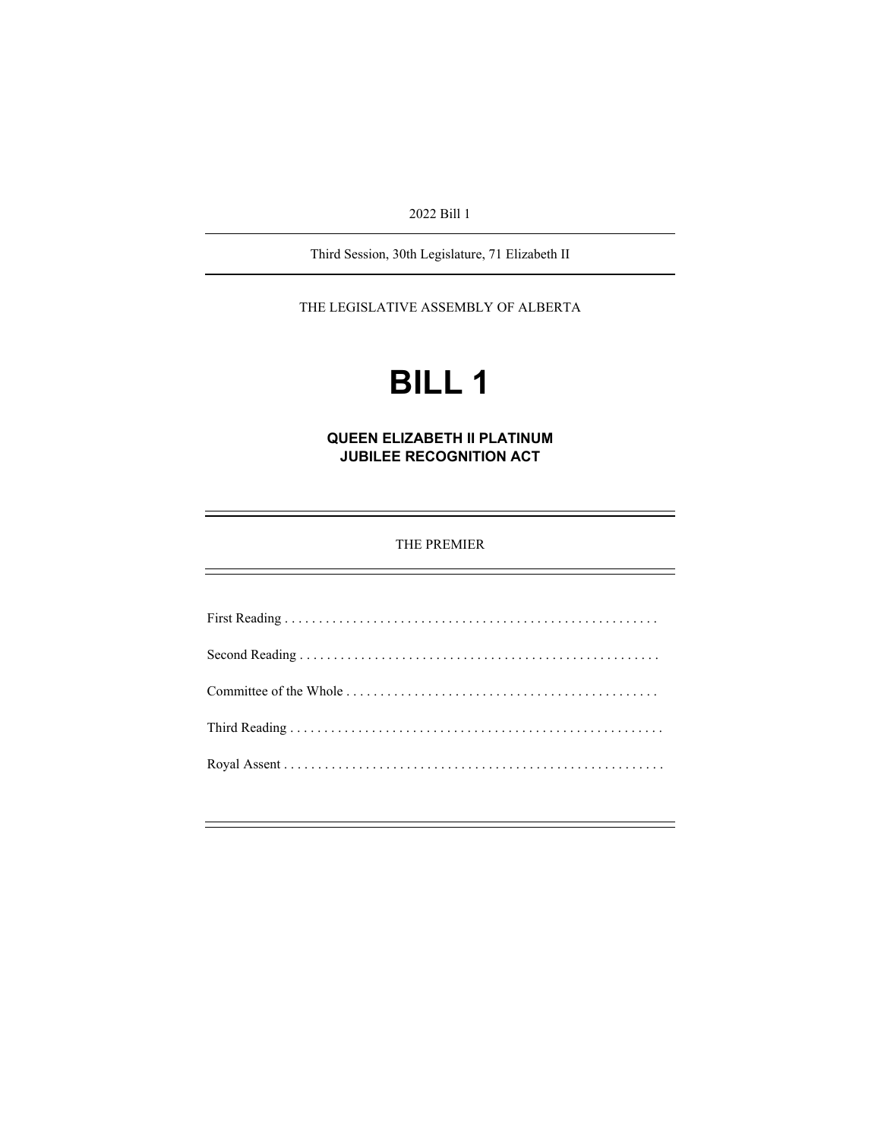2022 Bill 1

Third Session, 30th Legislature, 71 Elizabeth II

THE LEGISLATIVE ASSEMBLY OF ALBERTA

# **BILL 1**

**QUEEN ELIZABETH II PLATINUM JUBILEE RECOGNITION ACT** 

THE PREMIER

First Reading . . . . . . . . . . . . . . . . . . . . . . . . . . . . . . . . . . . . . . . . . . . . . . . . . . . . . . . Second Reading . . . . . . . . . . . . . . . . . . . . . . . . . . . . . . . . . . . . . . . . . . . . . . . . . . . . . Committee of the Whole . . . . . . . . . . . . . . . . . . . . . . . . . . . . . . . . . . . . . . . . . . . . . . Third Reading . . . . . . . . . . . . . . . . . . . . . . . . . . . . . . . . . . . . . . . . . . . . . . . . . . . . . . . Royal Assent . . . . . . . . . . . . . . . . . . . . . . . . . . . . . . . . . . . . . . . . . . . . . . . . . . . . . . . .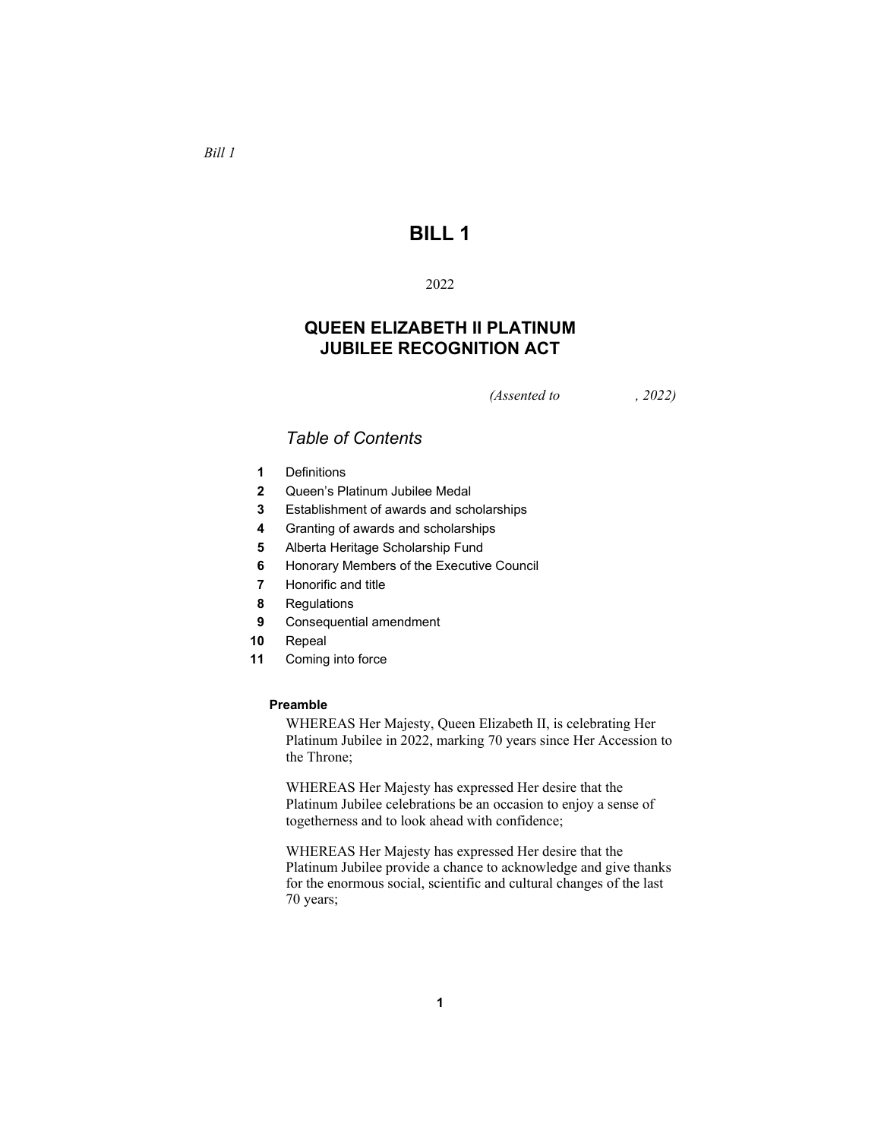# **BILL 1**

## 2022

# **QUEEN ELIZABETH II PLATINUM JUBILEE RECOGNITION ACT**

*(Assented to , 2022)* 

# *Table of Contents*

- **1** Definitions
- **2** Queen's Platinum Jubilee Medal
- **3** Establishment of awards and scholarships
- **4** Granting of awards and scholarships
- **5** Alberta Heritage Scholarship Fund
- **6** Honorary Members of the Executive Council
- **7** Honorific and title
- **8** Regulations
- **9** Consequential amendment
- **10** Repeal
- **11** Coming into force

#### **Preamble**

WHEREAS Her Majesty, Queen Elizabeth II, is celebrating Her Platinum Jubilee in 2022, marking 70 years since Her Accession to the Throne;

WHEREAS Her Majesty has expressed Her desire that the Platinum Jubilee celebrations be an occasion to enjoy a sense of togetherness and to look ahead with confidence;

WHEREAS Her Majesty has expressed Her desire that the Platinum Jubilee provide a chance to acknowledge and give thanks for the enormous social, scientific and cultural changes of the last 70 years;

# *Bill 1*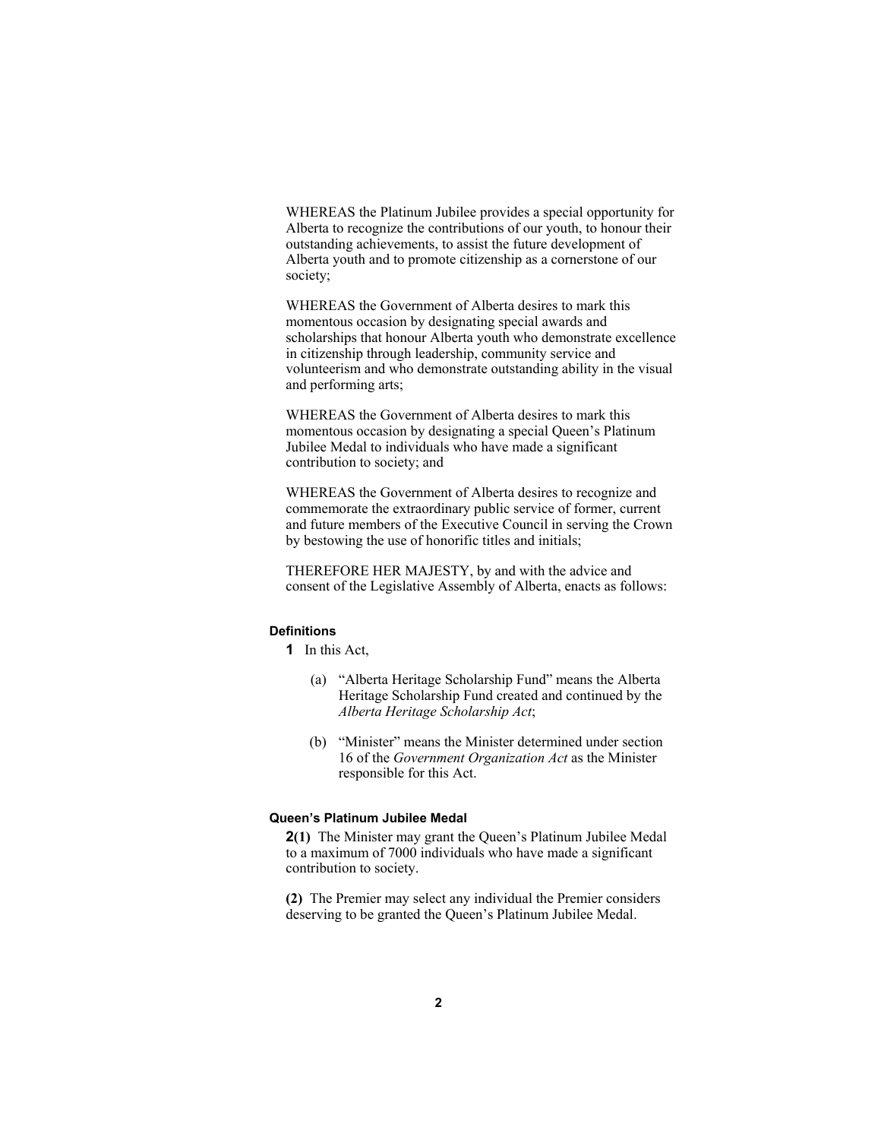WHEREAS the Platinum Jubilee provides a special opportunity for Alberta to recognize the contributions of our youth, to honour their outstanding achievements, to assist the future development of Alberta youth and to promote citizenship as a cornerstone of our society;

WHEREAS the Government of Alberta desires to mark this momentous occasion by designating special awards and scholarships that honour Alberta youth who demonstrate excellence in citizenship through leadership, community service and volunteerism and who demonstrate outstanding ability in the visual and performing arts;

WHEREAS the Government of Alberta desires to mark this momentous occasion by designating a special Queen's Platinum Jubilee Medal to individuals who have made a significant contribution to society; and

WHEREAS the Government of Alberta desires to recognize and commemorate the extraordinary public service of former, current and future members of the Executive Council in serving the Crown by bestowing the use of honorific titles and initials;

THEREFORE HER MAJESTY, by and with the advice and consent of the Legislative Assembly of Alberta, enacts as follows:

#### **Definitions**

**1** In this Act,

- (a) "Alberta Heritage Scholarship Fund" means the Alberta Heritage Scholarship Fund created and continued by the *Alberta Heritage Scholarship Act*;
- (b) "Minister" means the Minister determined under section 16 of the *Government Organization Act* as the Minister responsible for this Act.

#### **Queen's Platinum Jubilee Medal**

**2(1)** The Minister may grant the Queen's Platinum Jubilee Medal to a maximum of 7000 individuals who have made a significant contribution to society.

**(2)** The Premier may select any individual the Premier considers deserving to be granted the Queen's Platinum Jubilee Medal.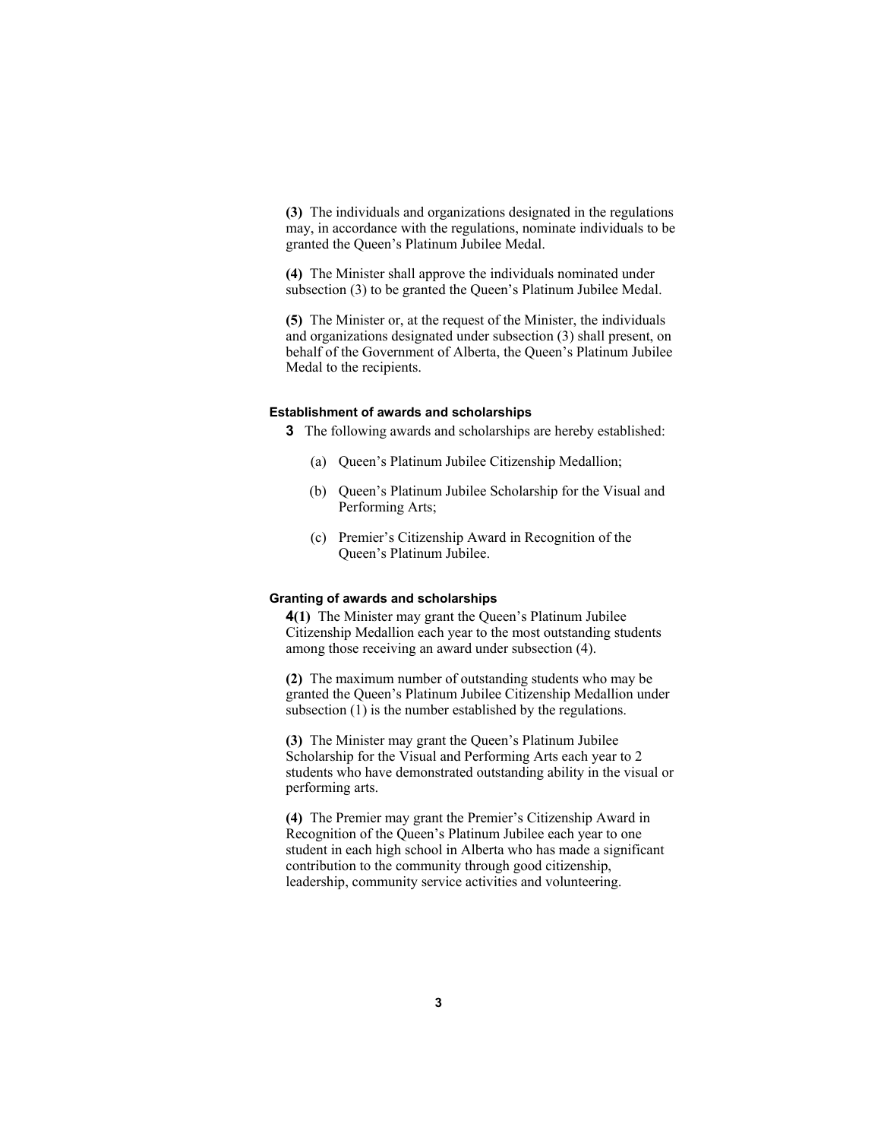**(3)** The individuals and organizations designated in the regulations may, in accordance with the regulations, nominate individuals to be granted the Queen's Platinum Jubilee Medal.

**(4)** The Minister shall approve the individuals nominated under subsection (3) to be granted the Queen's Platinum Jubilee Medal.

**(5)** The Minister or, at the request of the Minister, the individuals and organizations designated under subsection (3) shall present, on behalf of the Government of Alberta, the Queen's Platinum Jubilee Medal to the recipients.

#### **Establishment of awards and scholarships**

**3** The following awards and scholarships are hereby established:

- (a) Queen's Platinum Jubilee Citizenship Medallion;
- (b) Queen's Platinum Jubilee Scholarship for the Visual and Performing Arts;
- (c) Premier's Citizenship Award in Recognition of the Queen's Platinum Jubilee.

#### **Granting of awards and scholarships**

**4(1)** The Minister may grant the Queen's Platinum Jubilee Citizenship Medallion each year to the most outstanding students among those receiving an award under subsection (4).

**(2)** The maximum number of outstanding students who may be granted the Queen's Platinum Jubilee Citizenship Medallion under subsection (1) is the number established by the regulations.

**(3)** The Minister may grant the Queen's Platinum Jubilee Scholarship for the Visual and Performing Arts each year to 2 students who have demonstrated outstanding ability in the visual or performing arts.

**(4)** The Premier may grant the Premier's Citizenship Award in Recognition of the Queen's Platinum Jubilee each year to one student in each high school in Alberta who has made a significant contribution to the community through good citizenship, leadership, community service activities and volunteering.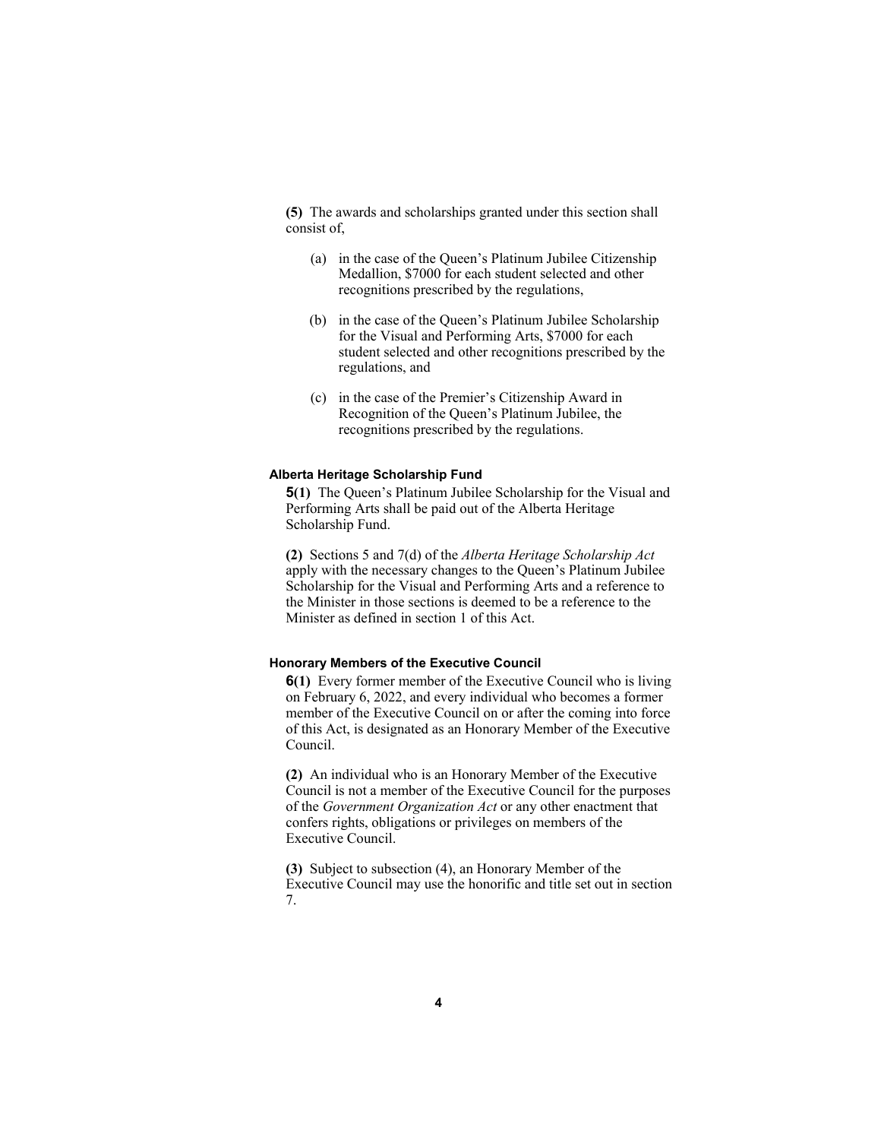**(5)** The awards and scholarships granted under this section shall consist of,

- (a) in the case of the Queen's Platinum Jubilee Citizenship Medallion, \$7000 for each student selected and other recognitions prescribed by the regulations,
- (b) in the case of the Queen's Platinum Jubilee Scholarship for the Visual and Performing Arts, \$7000 for each student selected and other recognitions prescribed by the regulations, and
- (c) in the case of the Premier's Citizenship Award in Recognition of the Queen's Platinum Jubilee, the recognitions prescribed by the regulations.

#### **Alberta Heritage Scholarship Fund**

**5(1)** The Queen's Platinum Jubilee Scholarship for the Visual and Performing Arts shall be paid out of the Alberta Heritage Scholarship Fund.

**(2)** Sections 5 and 7(d) of the *Alberta Heritage Scholarship Act* apply with the necessary changes to the Queen's Platinum Jubilee Scholarship for the Visual and Performing Arts and a reference to the Minister in those sections is deemed to be a reference to the Minister as defined in section 1 of this Act.

#### **Honorary Members of the Executive Council**

**6(1)** Every former member of the Executive Council who is living on February 6, 2022, and every individual who becomes a former member of the Executive Council on or after the coming into force of this Act, is designated as an Honorary Member of the Executive Council.

**(2)** An individual who is an Honorary Member of the Executive Council is not a member of the Executive Council for the purposes of the *Government Organization Act* or any other enactment that confers rights, obligations or privileges on members of the Executive Council.

**(3)** Subject to subsection (4), an Honorary Member of the Executive Council may use the honorific and title set out in section 7.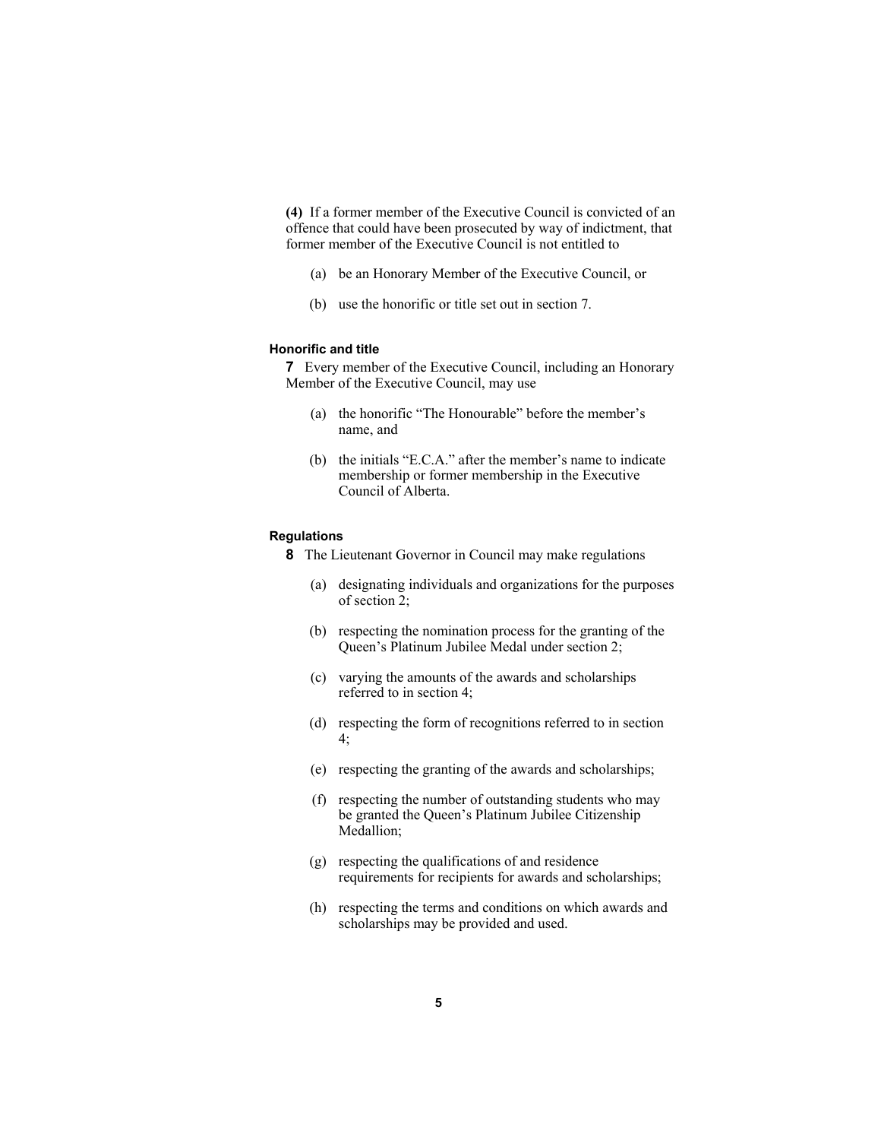**(4)** If a former member of the Executive Council is convicted of an offence that could have been prosecuted by way of indictment, that former member of the Executive Council is not entitled to

- (a) be an Honorary Member of the Executive Council, or
- (b) use the honorific or title set out in section 7.

## **Honorific and title**

**7** Every member of the Executive Council, including an Honorary Member of the Executive Council, may use

- (a) the honorific "The Honourable" before the member's name, and
- (b) the initials "E.C.A." after the member's name to indicate membership or former membership in the Executive Council of Alberta.

#### **Regulations**

**8** The Lieutenant Governor in Council may make regulations

- (a) designating individuals and organizations for the purposes of section 2;
- (b) respecting the nomination process for the granting of the Queen's Platinum Jubilee Medal under section 2;
- (c) varying the amounts of the awards and scholarships referred to in section 4;
- (d) respecting the form of recognitions referred to in section 4;
- (e) respecting the granting of the awards and scholarships;
- (f) respecting the number of outstanding students who may be granted the Queen's Platinum Jubilee Citizenship Medallion;
- (g) respecting the qualifications of and residence requirements for recipients for awards and scholarships;
- (h) respecting the terms and conditions on which awards and scholarships may be provided and used.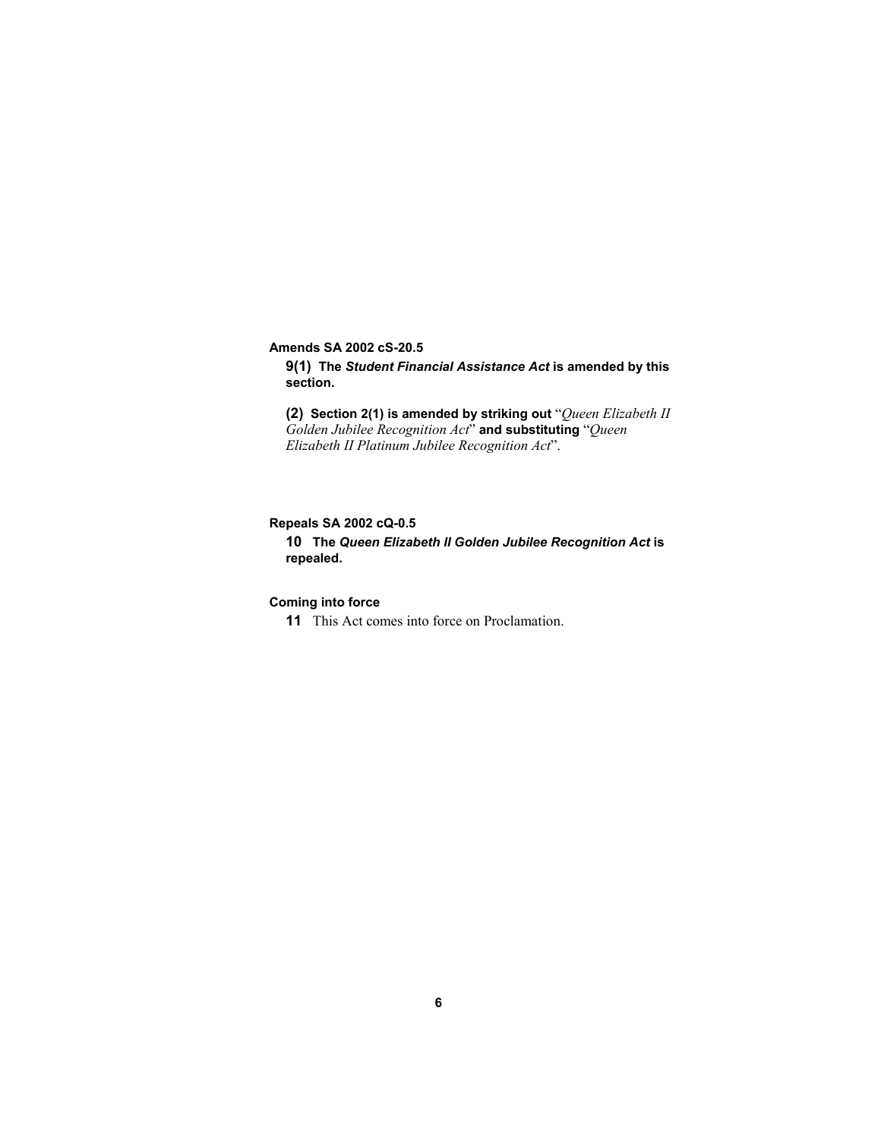**Amends SA 2002 cS-20.5** 

**9(1) The** *Student Financial Assistance Act* **is amended by this section.** 

**(2) Section 2(1) is amended by striking out** "*Queen Elizabeth II Golden Jubilee Recognition Act*" **and substituting** "*Queen Elizabeth II Platinum Jubilee Recognition Act*".

## **Repeals SA 2002 cQ-0.5**

**10 The** *Queen Elizabeth II Golden Jubilee Recognition Act* **is repealed.** 

# **Coming into force**

**11** This Act comes into force on Proclamation.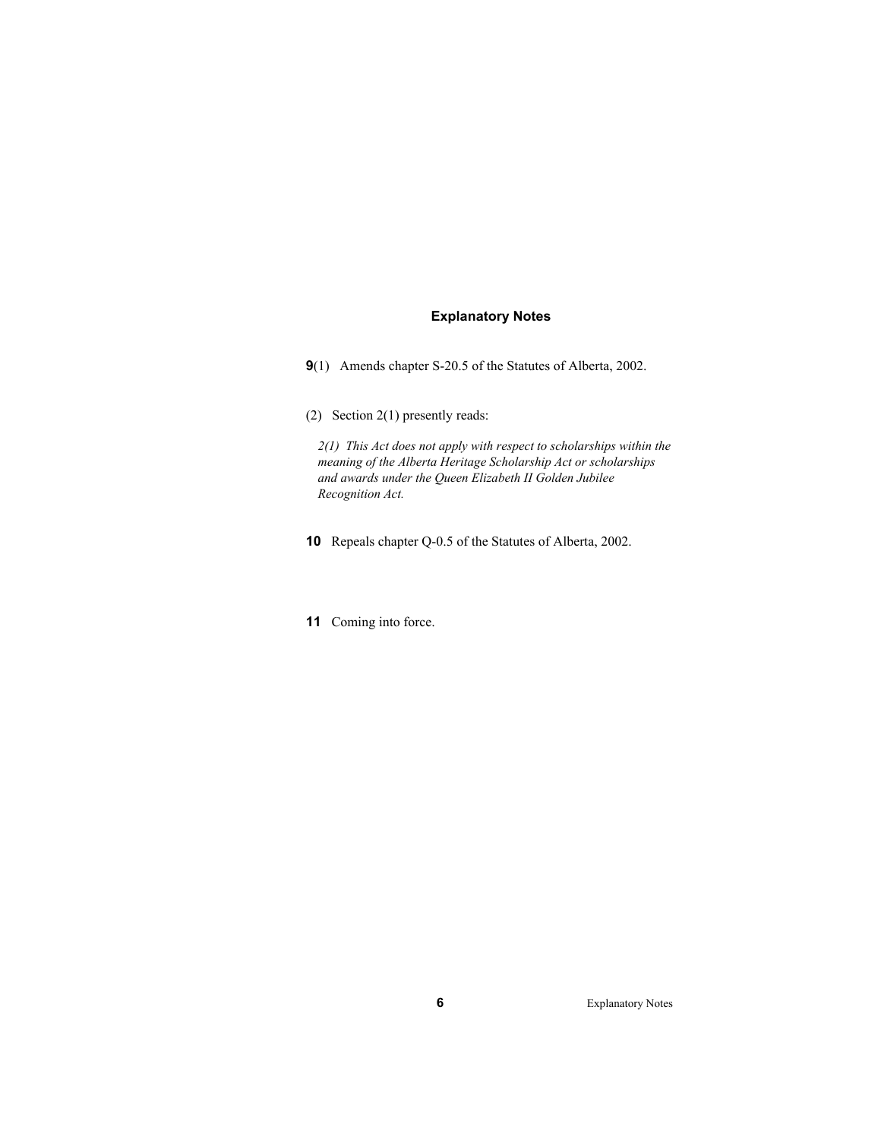## **Explanatory Notes**

**9**(1) Amends chapter S-20.5 of the Statutes of Alberta, 2002.

(2) Section 2(1) presently reads:

*2(1) This Act does not apply with respect to scholarships within the meaning of the Alberta Heritage Scholarship Act or scholarships and awards under the Queen Elizabeth II Golden Jubilee Recognition Act.* 

- **10** Repeals chapter Q-0.5 of the Statutes of Alberta, 2002.
- **11** Coming into force.

**6** Explanatory Notes